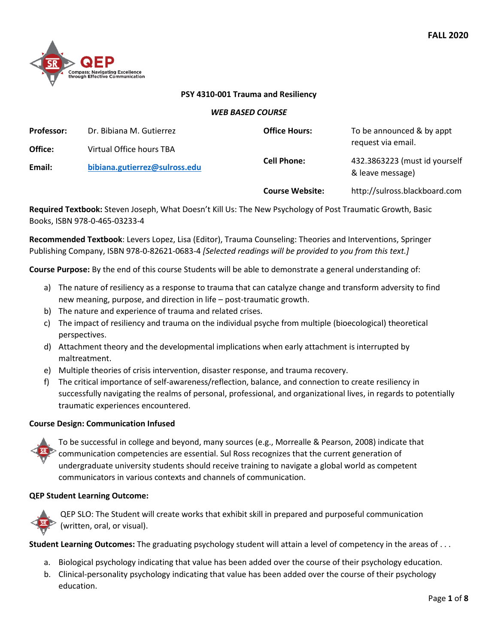

#### **PSY 4310-001 Trauma and Resiliency**

#### *WEB BASED COURSE*

| <b>Professor:</b> | Dr. Bibiana M. Gutierrez      | <b>Office Hours:</b>   | To be announced & by appt                         |  |
|-------------------|-------------------------------|------------------------|---------------------------------------------------|--|
| Office:           | Virtual Office hours TBA      |                        | request via email.                                |  |
| Email:            | bibiana.gutierrez@sulross.edu | <b>Cell Phone:</b>     | 432.3863223 (must id yourself<br>& leave message) |  |
|                   |                               | <b>Course Website:</b> | http://sulross.blackboard.com                     |  |

**Required Textbook:** Steven Joseph, What Doesn't Kill Us: The New Psychology of Post Traumatic Growth, Basic Books, ISBN 978-0-465-03233-4

**Recommended Textbook**: Levers Lopez, Lisa (Editor), Trauma Counseling: Theories and Interventions, Springer Publishing Company, ISBN 978-0-82621-0683-4 *[Selected readings will be provided to you from this text.]*

**Course Purpose:** By the end of this course Students will be able to demonstrate a general understanding of:

- a) The nature of resiliency as a response to trauma that can catalyze change and transform adversity to find new meaning, purpose, and direction in life – post-traumatic growth.
- b) The nature and experience of trauma and related crises.
- c) The impact of resiliency and trauma on the individual psyche from multiple (bioecological) theoretical perspectives.
- d) Attachment theory and the developmental implications when early attachment is interrupted by maltreatment.
- e) Multiple theories of crisis intervention, disaster response, and trauma recovery.
- f) The critical importance of self-awareness/reflection, balance, and connection to create resiliency in successfully navigating the realms of personal, professional, and organizational lives, in regards to potentially traumatic experiences encountered.

#### **Course Design: Communication Infused**



To be successful in college and beyond, many sources (e.g., Morrealle & Pearson, 2008) indicate that communication competencies are essential. Sul Ross recognizes that the current generation of undergraduate university students should receive training to navigate a global world as competent communicators in various contexts and channels of communication.

#### **QEP Student Learning Outcome:**



QEP SLO: The Student will create works that exhibit skill in prepared and purposeful communication (written, oral, or visual).

**Student Learning Outcomes:** The graduating psychology student will attain a level of competency in the areas of . . .

- a. Biological psychology indicating that value has been added over the course of their psychology education.
- b. Clinical-personality psychology indicating that value has been added over the course of their psychology education.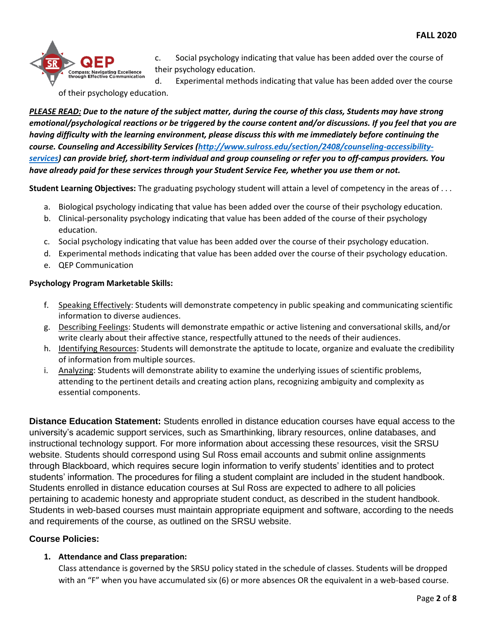

c. Social psychology indicating that value has been added over the course of their psychology education.

d. Experimental methods indicating that value has been added over the course of their psychology education.

*PLEASE READ: Due to the nature of the subject matter, during the course of this class, Students may have strong emotional/psychological reactions or be triggered by the course content and/or discussions. If you feel that you are having difficulty with the learning environment, please discuss this with me immediately before continuing the course. Counseling and Accessibility Services [\(http://www.sulross.edu/section/2408/counseling-accessibility](http://www.sulross.edu/section/2408/counseling-accessibility-services)[services\)](http://www.sulross.edu/section/2408/counseling-accessibility-services) can provide brief, short-term individual and group counseling or refer you to off-campus providers. You have already paid for these services through your Student Service Fee, whether you use them or not.*

**Student Learning Objectives:** The graduating psychology student will attain a level of competency in the areas of . . .

- a. Biological psychology indicating that value has been added over the course of their psychology education.
- b. Clinical-personality psychology indicating that value has been added of the course of their psychology education.
- c. Social psychology indicating that value has been added over the course of their psychology education.
- d. Experimental methods indicating that value has been added over the course of their psychology education.
- e. QEP Communication

# **Psychology Program Marketable Skills:**

- f. Speaking Effectively: Students will demonstrate competency in public speaking and communicating scientific information to diverse audiences.
- g. Describing Feelings: Students will demonstrate empathic or active listening and conversational skills, and/or write clearly about their affective stance, respectfully attuned to the needs of their audiences.
- h. Identifying Resources: Students will demonstrate the aptitude to locate, organize and evaluate the credibility of information from multiple sources.
- i. Analyzing: Students will demonstrate ability to examine the underlying issues of scientific problems, attending to the pertinent details and creating action plans, recognizing ambiguity and complexity as essential components.

**Distance Education Statement:** Students enrolled in distance education courses have equal access to the university's academic support services, such as Smarthinking, library resources, online databases, and instructional technology support. For more information about accessing these resources, visit the SRSU website. Students should correspond using Sul Ross email accounts and submit online assignments through Blackboard, which requires secure login information to verify students' identities and to protect students' information. The procedures for filing a student complaint are included in the student handbook. Students enrolled in distance education courses at Sul Ross are expected to adhere to all policies pertaining to academic honesty and appropriate student conduct, as described in the student handbook. Students in web-based courses must maintain appropriate equipment and software, according to the needs and requirements of the course, as outlined on the SRSU website.

# **Course Policies:**

# **1. Attendance and Class preparation:**

Class attendance is governed by the SRSU policy stated in the schedule of classes. Students will be dropped with an "F" when you have accumulated six (6) or more absences OR the equivalent in a web-based course.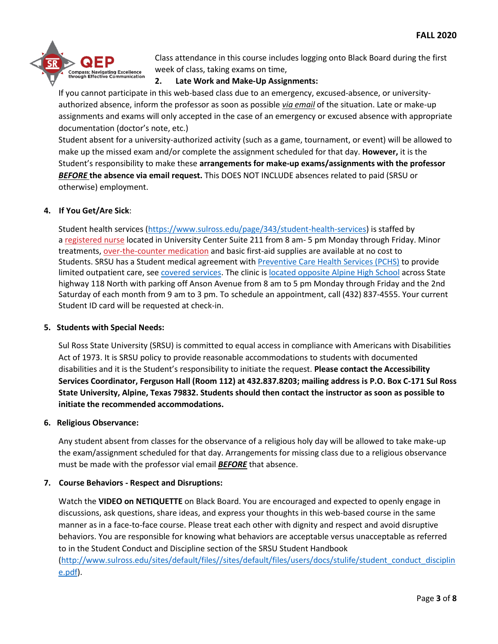

Class attendance in this course includes logging onto Black Board during the first week of class, taking exams on time,

## **2. Late Work and Make-Up Assignments:**

If you cannot participate in this web-based class due to an emergency, excused-absence, or universityauthorized absence, inform the professor as soon as possible *via email* of the situation. Late or make-up assignments and exams will only accepted in the case of an emergency or excused absence with appropriate documentation (doctor's note, etc.)

Student absent for a university-authorized activity (such as a game, tournament, or event) will be allowed to make up the missed exam and/or complete the assignment scheduled for that day. **However,** it is the Student's responsibility to make these **arrangements for make-up exams/assignments with the professor**  *BEFORE* **the absence via email request.** This DOES NOT INCLUDE absences related to paid (SRSU or otherwise) employment.

## **4. If You Get/Are Sick**:

Student health services [\(https://www.sulross.edu/page/343/student-health-services\)](https://www.sulross.edu/page/343/student-health-services) is staffed by a [registered nurse](https://www.sulross.edu/faculty-and-staff/945/health-services-coordinator) located in University Center Suite 211 from 8 am- 5 pm Monday through Friday. Minor treatments, [over-the-counter medication](http://www.sulross.edu/page/1462/medications) and basic first-aid supplies are available at no cost to Students. SRSU has a Student medical agreement with [Preventive Care Health Services \(PCHS\)](http://www.pchsmedclinic.org/locations) to provide limited outpatient care, see [covered services.](http://www.sulross.edu/page/1471/preventive-care-health-services) The clinic is [located opposite Alpine High School](http://www.sulross.edu/gallery-image/4341/health-service-locations) across State highway 118 North with parking off Anson Avenue from 8 am to 5 pm Monday through Friday and the 2nd Saturday of each month from 9 am to 3 pm. To schedule an appointment, call (432) 837-4555. Your current Student ID card will be requested at check-in.

## **5. Students with Special Needs:**

Sul Ross State University (SRSU) is committed to equal access in compliance with Americans with Disabilities Act of 1973. It is SRSU policy to provide reasonable accommodations to students with documented disabilities and it is the Student's responsibility to initiate the request. **Please contact the Accessibility Services Coordinator, Ferguson Hall (Room 112) at 432.837.8203; mailing address is P.O. Box C-171 Sul Ross State University, Alpine, Texas 79832. Students should then contact the instructor as soon as possible to initiate the recommended accommodations.**

## **6. Religious Observance:**

Any student absent from classes for the observance of a religious holy day will be allowed to take make-up the exam/assignment scheduled for that day. Arrangements for missing class due to a religious observance must be made with the professor vial email *BEFORE* that absence.

## **7. Course Behaviors - Respect and Disruptions:**

Watch the **VIDEO on NETIQUETTE** on Black Board. You are encouraged and expected to openly engage in discussions, ask questions, share ideas, and express your thoughts in this web-based course in the same manner as in a face-to-face course. Please treat each other with dignity and respect and avoid disruptive behaviors. You are responsible for knowing what behaviors are acceptable versus unacceptable as referred to in the Student Conduct and Discipline section of the SRSU Student Handbook [\(http://www.sulross.edu/sites/default/files//sites/default/files/users/docs/stulife/student\\_conduct\\_disciplin](http://www.sulross.edu/sites/default/files/sites/default/files/users/docs/stulife/student_conduct_discipline.pdf)  $e.pdf$ ).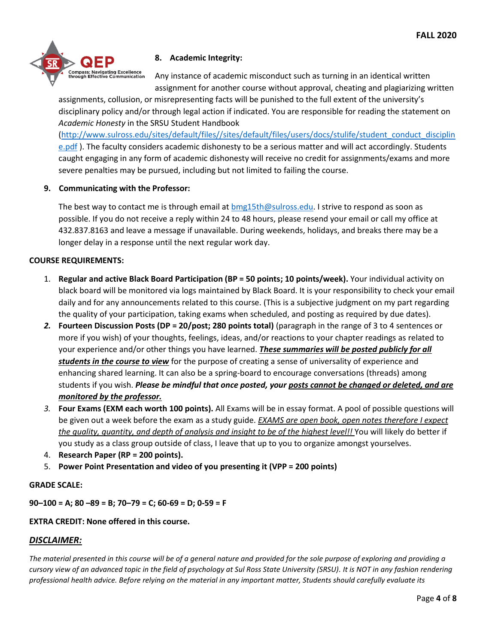

# **8. Academic Integrity:**

Any instance of academic misconduct such as turning in an identical written assignment for another course without approval, cheating and plagiarizing written

assignments, collusion, or misrepresenting facts will be punished to the full extent of the university's disciplinary policy and/or through legal action if indicated. You are responsible for reading the statement on *Academic Honesty* in the SRSU Student Handbook

[\(http://www.sulross.edu/sites/default/files//sites/default/files/users/docs/stulife/student\\_conduct\\_disciplin](http://www.sulross.edu/sites/default/files/sites/default/files/users/docs/stulife/student_conduct_discipline.pdf) [e.pdf](http://www.sulross.edu/sites/default/files/sites/default/files/users/docs/stulife/student_conduct_discipline.pdf)). The faculty considers academic dishonesty to be a serious matter and will act accordingly. Students caught engaging in any form of academic dishonesty will receive no credit for assignments/exams and more severe penalties may be pursued, including but not limited to failing the course.

## **9. Communicating with the Professor:**

The best way to contact me is through email at [bmg15th@sulross.edu.](mailto:bmg15th@sulross.edu) I strive to respond as soon as possible. If you do not receive a reply within 24 to 48 hours, please resend your email or call my office at 432.837.8163 and leave a message if unavailable. During weekends, holidays, and breaks there may be a longer delay in a response until the next regular work day.

## **COURSE REQUIREMENTS:**

- 1. **Regular and active Black Board Participation (BP = 50 points; 10 points/week).** Your individual activity on black board will be monitored via logs maintained by Black Board. It is your responsibility to check your email daily and for any announcements related to this course. (This is a subjective judgment on my part regarding the quality of your participation, taking exams when scheduled, and posting as required by due dates).
- *2.* **Fourteen Discussion Posts (DP = 20/post; 280 points total)** (paragraph in the range of 3 to 4 sentences or more if you wish) of your thoughts, feelings, ideas, and/or reactions to your chapter readings as related to your experience and/or other things you have learned. *These summaries will be posted publicly for all students in the course to view* for the purpose of creating a sense of universality of experience and enhancing shared learning. It can also be a spring-board to encourage conversations (threads) among students if you wish. *Please be mindful that once posted, your posts cannot be changed or deleted, and are monitored by the professor.*
- *3.* **Four Exams (EXM each worth 100 points).** All Exams will be in essay format. A pool of possible questions will be given out a week before the exam as a study guide. *EXAMS are open book, open notes therefore I expect the quality, quantity, and depth of analysis and insight to be of the highest level!!* You will likely do better if you study as a class group outside of class, I leave that up to you to organize amongst yourselves.
- 4. **Research Paper (RP = 200 points).**
- 5. **Power Point Presentation and video of you presenting it (VPP = 200 points)**

## **GRADE SCALE:**

**90–100 = A; 80 –89 = B; 70–79 = C; 60-69 = D; 0-59 = F**

# **EXTRA CREDIT: None offered in this course.**

# *DISCLAIMER:*

*The material presented in this course will be of a general nature and provided for the sole purpose of exploring and providing a cursory view of an advanced topic in the field of psychology at Sul Ross State University (SRSU). It is NOT in any fashion rendering professional health advice. Before relying on the material in any important matter, Students should carefully evaluate its*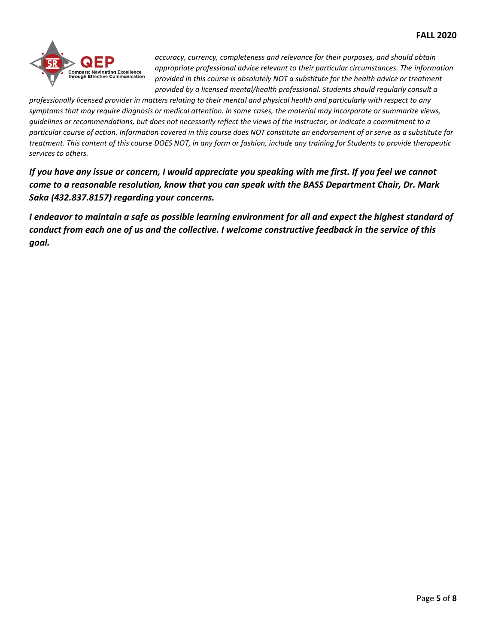

*accuracy, currency, completeness and relevance for their purposes, and should obtain appropriate professional advice relevant to their particular circumstances. The information provided in this course is absolutely NOT a substitute for the health advice or treatment provided by a licensed mental/health professional. Students should regularly consult a* 

*professionally licensed provider in matters relating to their mental and physical health and particularly with respect to any symptoms that may require diagnosis or medical attention. In some cases, the material may incorporate or summarize views, guidelines or recommendations, but does not necessarily reflect the views of the instructor, or indicate a commitment to a particular course of action. Information covered in this course does NOT constitute an endorsement of or serve as a substitute for treatment. This content of this course DOES NOT, in any form or fashion, include any training for Students to provide therapeutic services to others.*

*If you have any issue or concern, I would appreciate you speaking with me first. If you feel we cannot come to a reasonable resolution, know that you can speak with the BASS Department Chair, Dr. Mark Saka (432.837.8157) regarding your concerns.*

*I endeavor to maintain a safe as possible learning environment for all and expect the highest standard of conduct from each one of us and the collective. I welcome constructive feedback in the service of this goal.*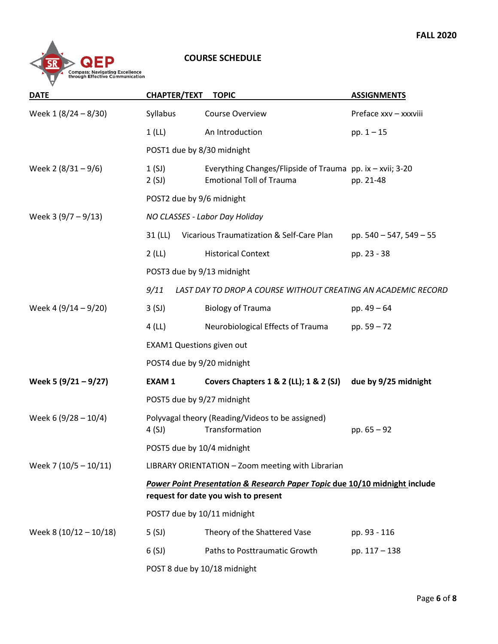

## **COURSE SCHEDULE**

| <b>DATE</b>            | <b>CHAPTER/TEXT</b>                               | <b>TOPIC</b>                                                                                                       | <b>ASSIGNMENTS</b>      |  |
|------------------------|---------------------------------------------------|--------------------------------------------------------------------------------------------------------------------|-------------------------|--|
| Week 1 (8/24 - 8/30)   | Syllabus                                          | Course Overview                                                                                                    | Preface xxv - xxxviii   |  |
|                        | 1(L)                                              | An Introduction                                                                                                    | pp. $1 - 15$            |  |
|                        |                                                   | POST1 due by 8/30 midnight                                                                                         |                         |  |
| Week 2 $(8/31 - 9/6)$  | 1(SJ)<br>2(SJ)                                    | Everything Changes/Flipside of Trauma pp. ix - xvii; 3-20<br><b>Emotional Toll of Trauma</b>                       | pp. 21-48               |  |
|                        |                                                   | POST2 due by 9/6 midnight                                                                                          |                         |  |
| Week 3 $(9/7 - 9/13)$  |                                                   | NO CLASSES - Labor Day Holiday                                                                                     |                         |  |
|                        | 31 (LL)                                           | Vicarious Traumatization & Self-Care Plan                                                                          | pp. 540 - 547, 549 - 55 |  |
|                        | 2(L)                                              | <b>Historical Context</b>                                                                                          | pp. 23 - 38             |  |
|                        |                                                   | POST3 due by 9/13 midnight                                                                                         |                         |  |
|                        | 9/11                                              | LAST DAY TO DROP A COURSE WITHOUT CREATING AN ACADEMIC RECORD                                                      |                         |  |
| Week 4 (9/14 - 9/20)   | 3(SJ)                                             | <b>Biology of Trauma</b>                                                                                           | pp. $49 - 64$           |  |
|                        | 4(L)                                              | Neurobiological Effects of Trauma                                                                                  | pp. $59 - 72$           |  |
|                        | <b>EXAM1 Questions given out</b>                  |                                                                                                                    |                         |  |
|                        |                                                   | POST4 due by 9/20 midnight                                                                                         |                         |  |
| Week 5 $(9/21 - 9/27)$ | <b>EXAM1</b>                                      | Covers Chapters 1 & 2 (LL); 1 & 2 (SJ)                                                                             | due by 9/25 midnight    |  |
|                        | POST5 due by 9/27 midnight                        |                                                                                                                    |                         |  |
| Week 6 (9/28 - 10/4)   | 4 (SJ)                                            | Polyvagal theory (Reading/Videos to be assigned)<br>Transformation                                                 | pp. $65 - 92$           |  |
|                        | POST5 due by 10/4 midnight                        |                                                                                                                    |                         |  |
| Week 7 (10/5 - 10/11)  | LIBRARY ORIENTATION - Zoom meeting with Librarian |                                                                                                                    |                         |  |
|                        |                                                   | Power Point Presentation & Research Paper Topic due 10/10 midnight include<br>request for date you wish to present |                         |  |
|                        | POST7 due by 10/11 midnight                       |                                                                                                                    |                         |  |
| Week 8 (10/12 - 10/18) | 5(SJ)                                             | Theory of the Shattered Vase                                                                                       | pp. 93 - 116            |  |
|                        | 6(SJ)                                             | Paths to Posttraumatic Growth                                                                                      | pp. 117 - 138           |  |
|                        |                                                   | POST 8 due by 10/18 midnight                                                                                       |                         |  |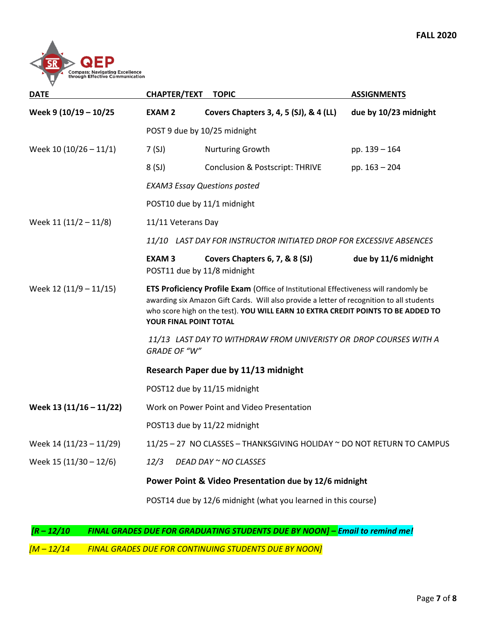

| <b>DATE</b>             | <b>CHAPTER/TEXT</b>                                                                                                                                                                                                                                                                                    | <b>TOPIC</b>                                                  | <b>ASSIGNMENTS</b>    |  |
|-------------------------|--------------------------------------------------------------------------------------------------------------------------------------------------------------------------------------------------------------------------------------------------------------------------------------------------------|---------------------------------------------------------------|-----------------------|--|
| Week 9 (10/19 - 10/25   | <b>EXAM2</b>                                                                                                                                                                                                                                                                                           | Covers Chapters 3, 4, 5 (SJ), & 4 (LL)                        | due by 10/23 midnight |  |
|                         | POST 9 due by 10/25 midnight                                                                                                                                                                                                                                                                           |                                                               |                       |  |
| Week 10 (10/26 - 11/1)  | 7(SJ)                                                                                                                                                                                                                                                                                                  | Nurturing Growth                                              | pp. 139 - 164         |  |
|                         | 8(SJ)                                                                                                                                                                                                                                                                                                  | <b>Conclusion &amp; Postscript: THRIVE</b>                    | pp. 163 - 204         |  |
|                         | <b>EXAM3 Essay Questions posted</b>                                                                                                                                                                                                                                                                    |                                                               |                       |  |
|                         | POST10 due by 11/1 midnight                                                                                                                                                                                                                                                                            |                                                               |                       |  |
| Week 11 (11/2 - 11/8)   | 11/11 Veterans Day                                                                                                                                                                                                                                                                                     |                                                               |                       |  |
|                         | 11/10 LAST DAY FOR INSTRUCTOR INITIATED DROP FOR EXCESSIVE ABSENCES                                                                                                                                                                                                                                    |                                                               |                       |  |
|                         | <b>EXAM3</b>                                                                                                                                                                                                                                                                                           | Covers Chapters 6, 7, & 8 (SJ)<br>POST11 due by 11/8 midnight | due by 11/6 midnight  |  |
| Week 12 (11/9 - 11/15)  | <b>ETS Proficiency Profile Exam (Office of Institutional Effectiveness will randomly be</b><br>awarding six Amazon Gift Cards. Will also provide a letter of recognition to all students<br>who score high on the test). YOU WILL EARN 10 EXTRA CREDIT POINTS TO BE ADDED TO<br>YOUR FINAL POINT TOTAL |                                                               |                       |  |
|                         | 11/13 LAST DAY TO WITHDRAW FROM UNIVERISTY OR DROP COURSES WITH A<br><b>GRADE OF "W"</b>                                                                                                                                                                                                               |                                                               |                       |  |
|                         | Research Paper due by 11/13 midnight                                                                                                                                                                                                                                                                   |                                                               |                       |  |
|                         |                                                                                                                                                                                                                                                                                                        | POST12 due by 11/15 midnight                                  |                       |  |
| Week 13 (11/16 - 11/22) | Work on Power Point and Video Presentation                                                                                                                                                                                                                                                             |                                                               |                       |  |
|                         |                                                                                                                                                                                                                                                                                                        | POST13 due by 11/22 midnight                                  |                       |  |
| Week 14 (11/23 - 11/29) | 11/25 - 27 NO CLASSES - THANKSGIVING HOLIDAY ~ DO NOT RETURN TO CAMPUS                                                                                                                                                                                                                                 |                                                               |                       |  |
| Week 15 (11/30 - 12/6)  | 12/3                                                                                                                                                                                                                                                                                                   | DEAD DAY ~ NO CLASSES                                         |                       |  |
|                         | Power Point & Video Presentation due by 12/6 midnight                                                                                                                                                                                                                                                  |                                                               |                       |  |
|                         |                                                                                                                                                                                                                                                                                                        | POST14 due by 12/6 midnight (what you learned in this course) |                       |  |

*[R – 12/10 FINAL GRADES DUE FOR GRADUATING STUDENTS DUE BY NOON] – Email to remind me!*

*[M – 12/14 FINAL GRADES DUE FOR CONTINUING STUDENTS DUE BY NOON]*